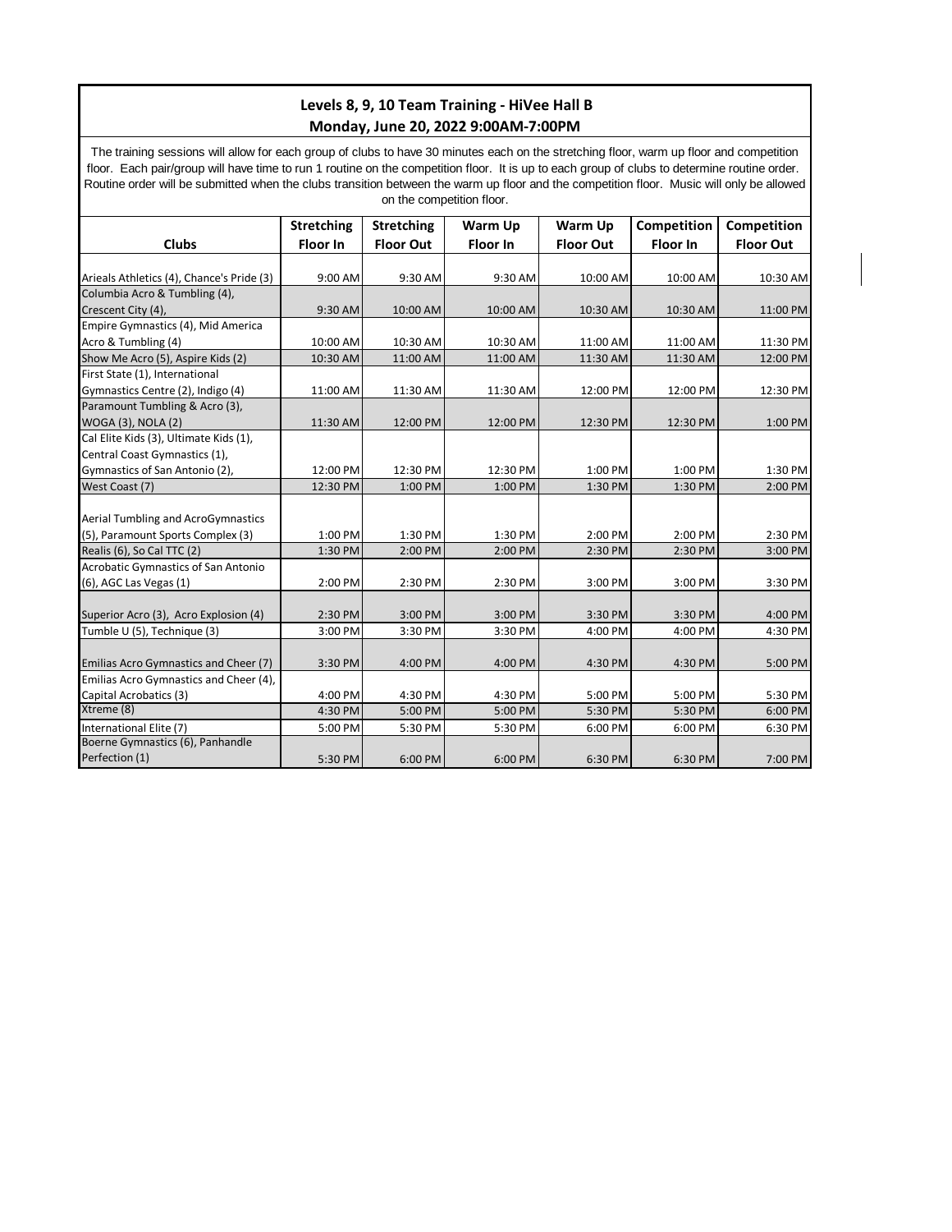## **Levels 8, 9, 10 Team Training - HiVee Hall B Monday, June 20, 2022 9:00AM-7:00PM**

The training sessions will allow for each group of clubs to have 30 minutes each on the stretching floor, warm up floor and competition floor. Each pair/group will have time to run 1 routine on the competition floor. It is up to each group of clubs to determine routine order. Routine order will be submitted when the clubs transition between the warm up floor and the competition floor. Music will only be allowed on the competition floor.

|                                              | <b>Stretching</b> | <b>Stretching</b> | Warm Up         | Warm Up          | Competition     | Competition      |
|----------------------------------------------|-------------------|-------------------|-----------------|------------------|-----------------|------------------|
| <b>Clubs</b>                                 | Floor In          | <b>Floor Out</b>  | <b>Floor In</b> | <b>Floor Out</b> | <b>Floor In</b> | <b>Floor Out</b> |
|                                              |                   |                   |                 |                  |                 |                  |
| Arieals Athletics (4), Chance's Pride (3)    | 9:00 AM           | 9:30 AM           | 9:30 AM         | 10:00 AM         | 10:00 AM        | 10:30 AM         |
| Columbia Acro & Tumbling (4),                |                   |                   |                 |                  |                 |                  |
| Crescent City (4),                           | 9:30 AM           | 10:00 AM          | 10:00 AM        | 10:30 AM         | 10:30 AM        | 11:00 PM         |
| Empire Gymnastics (4), Mid America           |                   |                   |                 |                  |                 |                  |
| Acro & Tumbling (4)                          | 10:00 AM          | 10:30 AM          | 10:30 AM        | 11:00 AM         | 11:00 AM        | 11:30 PM         |
| Show Me Acro (5), Aspire Kids (2)            | 10:30 AM          | 11:00 AM          | 11:00 AM        | 11:30 AM         | 11:30 AM        | 12:00 PM         |
| First State (1), International               |                   |                   |                 |                  |                 |                  |
| Gymnastics Centre (2), Indigo (4)            | 11:00 AM          | 11:30 AM          | 11:30 AM        | 12:00 PM         | 12:00 PM        | 12:30 PM         |
| Paramount Tumbling & Acro (3),               |                   |                   |                 |                  |                 |                  |
| WOGA (3), NOLA (2)                           | 11:30 AM          | 12:00 PM          | 12:00 PM        | 12:30 PM         | 12:30 PM        | 1:00 PM          |
| Cal Elite Kids (3), Ultimate Kids (1),       |                   |                   |                 |                  |                 |                  |
| Central Coast Gymnastics (1),                |                   |                   |                 |                  |                 |                  |
| Gymnastics of San Antonio (2),               | 12:00 PM          | 12:30 PM          | 12:30 PM        | 1:00 PM          | 1:00 PM         | 1:30 PM          |
| West Coast (7)                               | 12:30 PM          | 1:00 PM           | 1:00 PM         | 1:30 PM          | 1:30 PM         | 2:00 PM          |
|                                              |                   |                   |                 |                  |                 |                  |
| Aerial Tumbling and AcroGymnastics           |                   |                   |                 |                  |                 |                  |
| (5), Paramount Sports Complex (3)            | 1:00 PM           | 1:30 PM           | 1:30 PM         | 2:00 PM          | 2:00 PM         | 2:30 PM          |
| Realis (6), So Cal TTC (2)                   | 1:30 PM           | 2:00 PM           | 2:00 PM         | 2:30 PM          | 2:30 PM         | 3:00 PM          |
| <b>Acrobatic Gymnastics of San Antonio</b>   |                   |                   |                 |                  |                 |                  |
| (6), AGC Las Vegas (1)                       | 2:00 PM           | 2:30 PM           | 2:30 PM         | 3:00 PM          | 3:00 PM         | 3:30 PM          |
|                                              |                   |                   |                 |                  |                 |                  |
| Superior Acro (3), Acro Explosion (4)        | 2:30 PM           | 3:00 PM           | 3:00 PM         | 3:30 PM          | 3:30 PM         | 4:00 PM          |
| Tumble U (5), Technique (3)                  | 3:00 PM           | 3:30 PM           | 3:30 PM         | 4:00 PM          | 4:00 PM         | 4:30 PM          |
|                                              |                   |                   |                 |                  |                 |                  |
| <b>Emilias Acro Gymnastics and Cheer (7)</b> | 3:30 PM           | 4:00 PM           | 4:00 PM         | 4:30 PM          | 4:30 PM         | 5:00 PM          |
| Emilias Acro Gymnastics and Cheer (4),       |                   |                   |                 |                  |                 |                  |
| Capital Acrobatics (3)                       | 4:00 PM           | 4:30 PM           | 4:30 PM         | 5:00 PM          | 5:00 PM         | 5:30 PM          |
| Xtreme (8)                                   | 4:30 PM           | 5:00 PM           | 5:00 PM         | 5:30 PM          | 5:30 PM         | 6:00 PM          |
| International Elite (7)                      | 5:00 PM           | 5:30 PM           | 5:30 PM         | 6:00 PM          | 6:00 PM         | 6:30 PM          |
| Boerne Gymnastics (6), Panhandle             |                   |                   |                 |                  |                 |                  |
| Perfection (1)                               | 5:30 PM           | 6:00 PM           | 6:00 PM         | 6:30 PM          | 6:30 PM         | 7:00 PM          |